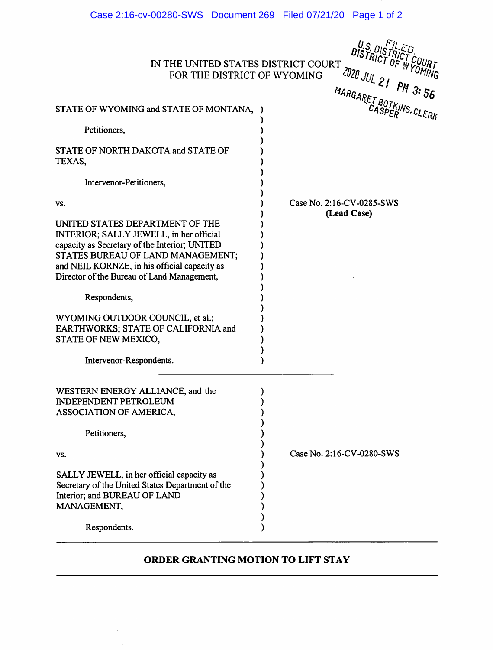| Case 2:16-cv-00280-SWS Document 269 Filed 07/21/20 Page 1 of 2                                                                                                                                                                                                 |                           |
|----------------------------------------------------------------------------------------------------------------------------------------------------------------------------------------------------------------------------------------------------------------|---------------------------|
| U.S. DISTRICT COURT<br>IN THE UNITED STATES DISTRICT COURT<br>2020 JUL 21 PM 3:56<br>FOR THE DISTRICT OF WYOMING<br>MARGARET BOTKINS, CLERK                                                                                                                    |                           |
| STATE OF WYOMING and STATE OF MONTANA,                                                                                                                                                                                                                         |                           |
| Petitioners,                                                                                                                                                                                                                                                   |                           |
| STATE OF NORTH DAKOTA and STATE OF<br>TEXAS,                                                                                                                                                                                                                   |                           |
| Intervenor-Petitioners,                                                                                                                                                                                                                                        |                           |
| VS.                                                                                                                                                                                                                                                            | Case No. 2:16-CV-0285-SWS |
| UNITED STATES DEPARTMENT OF THE<br>INTERIOR; SALLY JEWELL, in her official<br>capacity as Secretary of the Interior; UNITED<br>STATES BUREAU OF LAND MANAGEMENT;<br>and NEIL KORNZE, in his official capacity as<br>Director of the Bureau of Land Management, | (Lead Case)               |
| Respondents,                                                                                                                                                                                                                                                   |                           |
| WYOMING OUTDOOR COUNCIL, et al.;<br>EARTHWORKS; STATE OF CALIFORNIA and<br>STATE OF NEW MEXICO,                                                                                                                                                                |                           |
| Intervenor-Respondents.                                                                                                                                                                                                                                        |                           |
| WESTERN ENERGY ALLIANCE, and the<br><b>INDEPENDENT PETROLEUM</b><br>ASSOCIATION OF AMERICA,                                                                                                                                                                    |                           |
| Petitioners,                                                                                                                                                                                                                                                   |                           |
| VS.                                                                                                                                                                                                                                                            | Case No. 2:16-CV-0280-SWS |
| SALLY JEWELL, in her official capacity as<br>Secretary of the United States Department of the<br>Interior; and BUREAU OF LAND<br>MANAGEMENT,                                                                                                                   |                           |
| Respondents.                                                                                                                                                                                                                                                   |                           |

## ORDER GRANTING MOTION TO LIFT STAY

 $\hat{\boldsymbol{\beta}}$